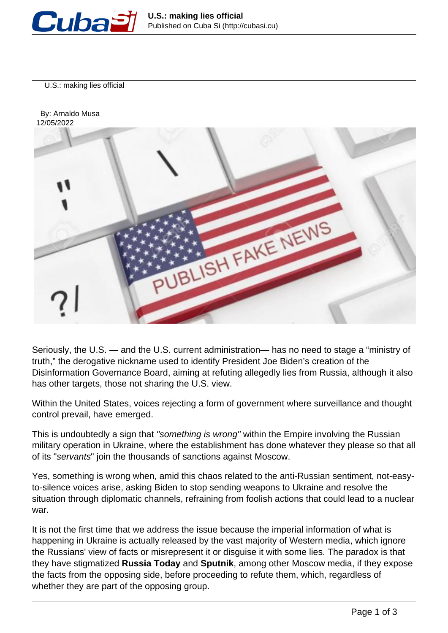

U.S.: making lies official



Seriously, the U.S. — and the U.S. current administration— has no need to stage a "ministry of truth," the derogative nickname used to identify President Joe Biden's creation of the Disinformation Governance Board, aiming at refuting allegedly lies from Russia, although it also has other targets, those not sharing the U.S. view.

Within the United States, voices rejecting a form of government where surveillance and thought control prevail, have emerged.

This is undoubtedly a sign that "something is wrong" within the Empire involving the Russian military operation in Ukraine, where the establishment has done whatever they please so that all of its "servants" join the thousands of sanctions against Moscow.

Yes, something is wrong when, amid this chaos related to the anti-Russian sentiment, not-easyto-silence voices arise, asking Biden to stop sending weapons to Ukraine and resolve the situation through diplomatic channels, refraining from foolish actions that could lead to a nuclear war.

It is not the first time that we address the issue because the imperial information of what is happening in Ukraine is actually released by the vast majority of Western media, which ignore the Russians' view of facts or misrepresent it or disguise it with some lies. The paradox is that they have stigmatized **Russia Today** and **Sputnik**, among other Moscow media, if they expose the facts from the opposing side, before proceeding to refute them, which, regardless of whether they are part of the opposing group.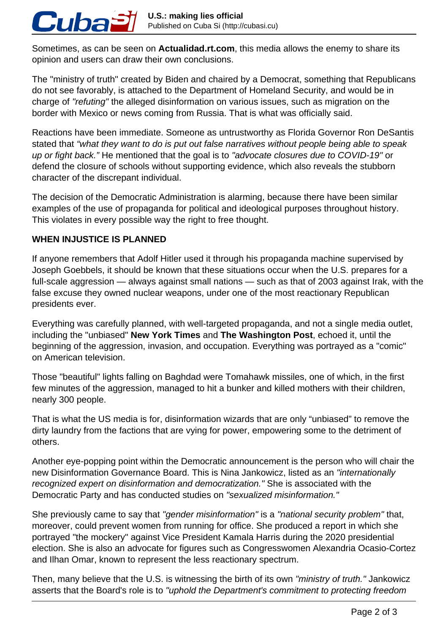Sometimes, as can be seen on **Actualidad.rt.com**, this media allows the enemy to share its opinion and users can draw their own conclusions.

The "ministry of truth" created by Biden and chaired by a Democrat, something that Republicans do not see favorably, is attached to the Department of Homeland Security, and would be in charge of "refuting" the alleged disinformation on various issues, such as migration on the border with Mexico or news coming from Russia. That is what was officially said.

Reactions have been immediate. Someone as untrustworthy as Florida Governor Ron DeSantis stated that "what they want to do is put out false narratives without people being able to speak up or fight back." He mentioned that the goal is to "advocate closures due to COVID-19" or defend the closure of schools without supporting evidence, which also reveals the stubborn character of the discrepant individual.

The decision of the Democratic Administration is alarming, because there have been similar examples of the use of propaganda for political and ideological purposes throughout history. This violates in every possible way the right to free thought.

## **WHEN INJUSTICE IS PLANNED**

Cuba

If anyone remembers that Adolf Hitler used it through his propaganda machine supervised by Joseph Goebbels, it should be known that these situations occur when the U.S. prepares for a full-scale aggression — always against small nations — such as that of 2003 against Irak, with the false excuse they owned nuclear weapons, under one of the most reactionary Republican presidents ever.

Everything was carefully planned, with well-targeted propaganda, and not a single media outlet, including the "unbiased" **New York Times** and **The Washington Post**, echoed it, until the beginning of the aggression, invasion, and occupation. Everything was portrayed as a "comic" on American television.

Those "beautiful" lights falling on Baghdad were Tomahawk missiles, one of which, in the first few minutes of the aggression, managed to hit a bunker and killed mothers with their children, nearly 300 people.

That is what the US media is for, disinformation wizards that are only "unbiased" to remove the dirty laundry from the factions that are vying for power, empowering some to the detriment of others.

Another eye-popping point within the Democratic announcement is the person who will chair the new Disinformation Governance Board. This is Nina Jankowicz, listed as an "internationally recognized expert on disinformation and democratization." She is associated with the Democratic Party and has conducted studies on "sexualized misinformation."

She previously came to say that "gender misinformation" is a "national security problem" that, moreover, could prevent women from running for office. She produced a report in which she portrayed "the mockery" against Vice President Kamala Harris during the 2020 presidential election. She is also an advocate for figures such as Congresswomen Alexandria Ocasio-Cortez and Ilhan Omar, known to represent the less reactionary spectrum.

Then, many believe that the U.S. is witnessing the birth of its own "ministry of truth." Jankowicz asserts that the Board's role is to "uphold the Department's commitment to protecting freedom